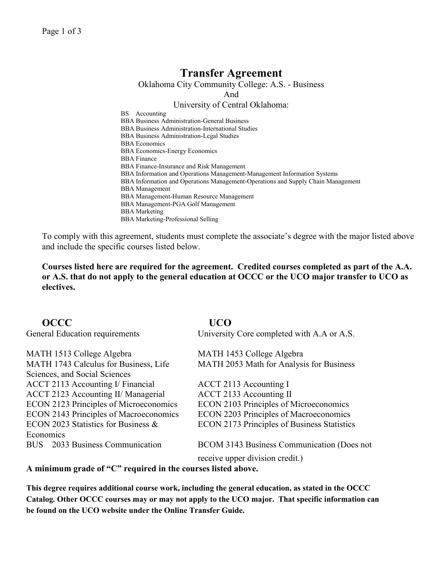# **Transfer Agreement**

Oklahoma City Community College: A.S. - Business

And

## University of Central Oklahoma:

BS Accounting BBA Business Administration-General Business BBA Business Administration-International Studies BBA Business Administration-Legal Studies BBA Economics BBA Economics-Energy Economics BBA Finance BBA Finance-Insurance and Risk Management BBA Information and Operations Management-Management Information Systems BBA Information and Operations Management-Operations and Supply Chain Management BBA Management BBA Management-Human Resource Management BBA Management-PGA Golf Management BBA Marketing BBA Marketing-Professional Selling

To comply with this agreement, students must complete the associate's degree with the major listed above and include the specific courses listed below.

**Courses listed here are required for the agreement. Credited courses completed as part of the A.A. or A.S. that do not apply to the general education at OCCC or the UCO major transfer to UCO as electives.**

| <b>OCCC</b>                                   | UCO                                                |
|-----------------------------------------------|----------------------------------------------------|
| General Education requirements                | University Core completed with A.A or A.S.         |
| MATH 1513 College Algebra                     | MATH 1453 College Algebra                          |
| MATH 1743 Calculus for Business, Life         | MATH 2053 Math for Analysis for Business           |
| Sciences, and Social Sciences                 |                                                    |
| ACCT 2113 Accounting I/ Financial             | ACCT 2113 Accounting I                             |
| ACCT 2123 Accounting II/ Managerial           | ACCT 2133 Accounting II                            |
| <b>ECON 2123 Principles of Microeconomics</b> | <b>ECON 2103 Principles of Microeconomics</b>      |
| <b>ECON 2143 Principles of Macroeconomics</b> | <b>ECON 2203 Principles of Macroeconomics</b>      |
| ECON 2023 Statistics for Business &           | <b>ECON 2173 Principles of Business Statistics</b> |
| Economics                                     |                                                    |
| BUS 2033 Business Communication               | BCOM 3143 Business Communication (Does not         |
|                                               | receive upper division credit.)                    |

**A minimum grade of "C" required in the courses listed above.**

**This degree requires additional course work, including the general education, as stated in the OCCC Catalog. Other OCCC courses may or may not apply to the UCO major. That specific information can be found on the UCO website under the Online Transfer Guide.**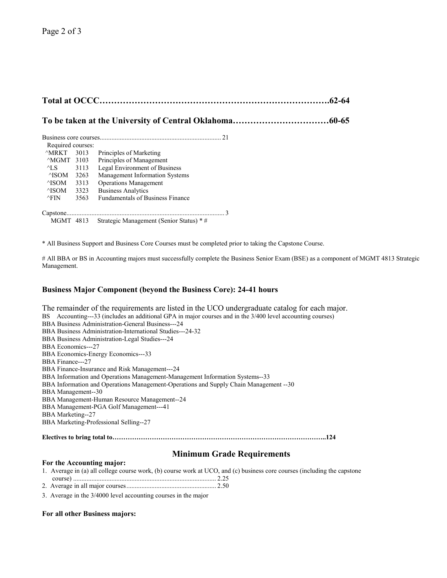# **To be taken at the University of Central Oklahoma……………………………60-65**

| Required courses:      |      |                                         |  |  |  |
|------------------------|------|-----------------------------------------|--|--|--|
| ^MRKT                  | 3013 | Principles of Marketing                 |  |  |  |
| $\triangle M$ GMT 3103 |      | Principles of Management                |  |  |  |
| $\triangle$ LS         | 3113 | Legal Environment of Business           |  |  |  |
| $\triangle$ ISOM       | 3263 | <b>Management Information Systems</b>   |  |  |  |
| $\triangle$ ISOM       | 3313 | <b>Operations Management</b>            |  |  |  |
| $\triangle$ ISOM       | 3323 | <b>Business Analytics</b>               |  |  |  |
| $\wedge$ FIN           | 3563 | <b>Fundamentals of Business Finance</b> |  |  |  |
| Capstone.              |      |                                         |  |  |  |

MGMT 4813 Strategic Management (Senior Status) \* #

\* All Business Support and Business Core Courses must be completed prior to taking the Capstone Course.

# All BBA or BS in Accounting majors must successfully complete the Business Senior Exam (BSE) as a component of MGMT 4813 Strategic Management.

### **Business Major Component (beyond the Business Core): 24-41 hours**

The remainder of the requirements are listed in the UCO undergraduate catalog for each major. BS Accounting---33 (includes an additional GPA in major courses and in the 3/400 level accounting courses) BBA Business Administration-General Business---24 BBA Business Administration-International Studies---24-32 BBA Business Administration-Legal Studies---24 BBA Economics---27 BBA Economics-Energy Economics---33 BBA Finance---27 BBA Finance-Insurance and Risk Management---24 BBA Information and Operations Management-Management Information Systems--33 BBA Information and Operations Management-Operations and Supply Chain Management --30 BBA Management--30 BBA Management-Human Resource Management--24 BBA Management-PGA Golf Management---41 BBA Marketing--27 BBA Marketing-Professional Selling--27 **Electives to bring total to……………………………………………………………………………………..124**

## **Minimum Grade Requirements**

#### **For the Accounting major:**

|  | 1. Average in (a) all college course work, (b) course work at UCO, and (c) business core courses (including the capstone |  |  |  |  |
|--|--------------------------------------------------------------------------------------------------------------------------|--|--|--|--|
|  |                                                                                                                          |  |  |  |  |

2. Average in all major courses...................................................... 2.50

3. Average in the 3/4000 level accounting courses in the major

#### **For all other Business majors:**